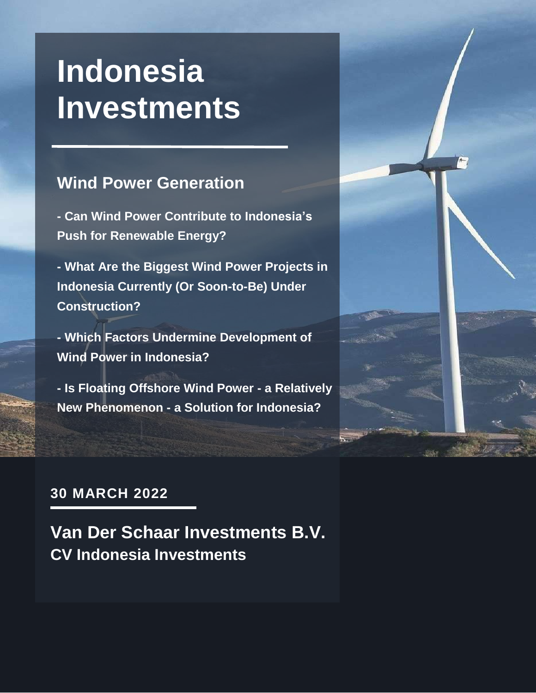## **Indonesia Investments**

#### **Wind Power Generation**

**- Can Wind Power Contribute to Indonesia's Push for Renewable Energy?**

**- What Are the Biggest Wind Power Projects in Indonesia Currently (Or Soon-to-Be) Under Construction?**

**- Which Factors Undermine Development of Wind Power in Indonesia?**

**- Is Floating Offshore Wind Power - a Relatively New Phenomenon - a Solution for Indonesia?**



#### **30 MARCH 2022**

**Van Der Schaar Investments B.V. CV Indonesia Investments**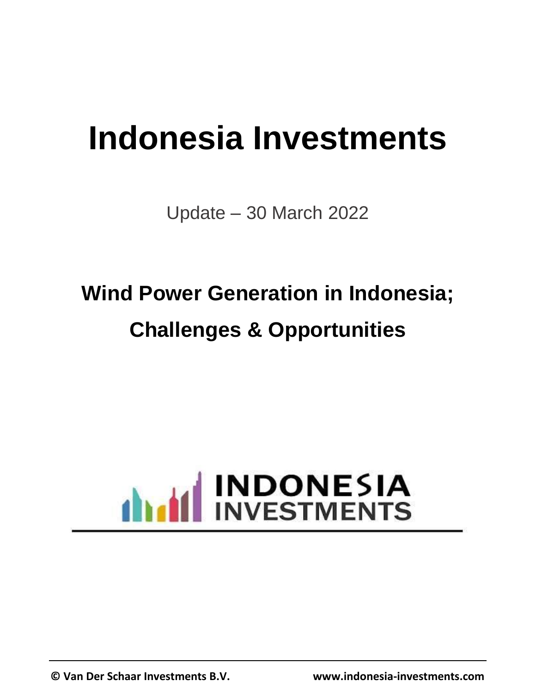# **Indonesia Investments**

Update – 30 March 2022

## **Wind Power Generation in Indonesia; Challenges & Opportunities**

# **ANTIFICATE INDONESIA**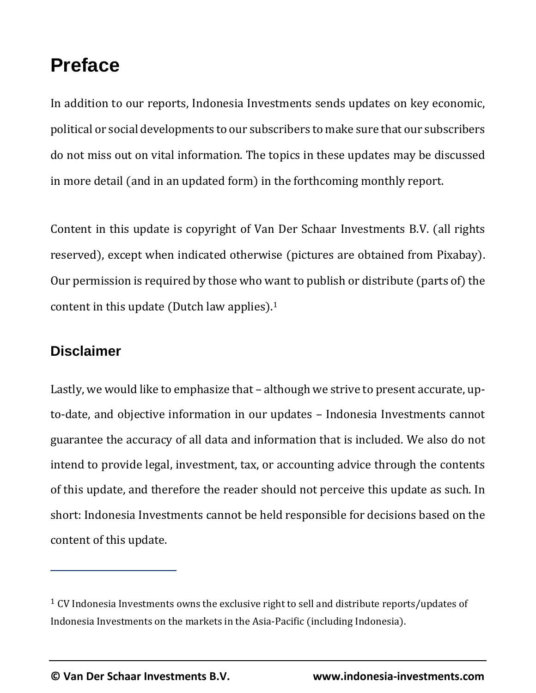### **Preface**

In addition to our reports, Indonesia Investments sends updates on key economic, political or social developments to our subscribers to make sure that our subscribers do not miss out on vital information. The topics in these updates may be discussed in more detail (and in an updated form) in the forthcoming monthly report.

Content in this update is copyright of Van Der Schaar Investments B.V. (all rights reserved), except when indicated otherwise (pictures are obtained from Pixabay). Our permission is required by those who want to publish or distribute (parts of) the content in this update (Dutch law applies).<sup>1</sup>

#### **Disclaimer**

Lastly, we would like to emphasize that – although we strive to present accurate, upto-date, and objective information in our updates – Indonesia Investments cannot guarantee the accuracy of all data and information that is included. We also do not intend to provide legal, investment, tax, or accounting advice through the contents of this update, and therefore the reader should not perceive this update as such. In short: Indonesia Investments cannot be held responsible for decisions based on the content of this update.

<sup>&</sup>lt;sup>1</sup> CV Indonesia Investments owns the exclusive right to sell and distribute reports/updates of Indonesia Investments on the markets in the Asia-Pacific (including Indonesia).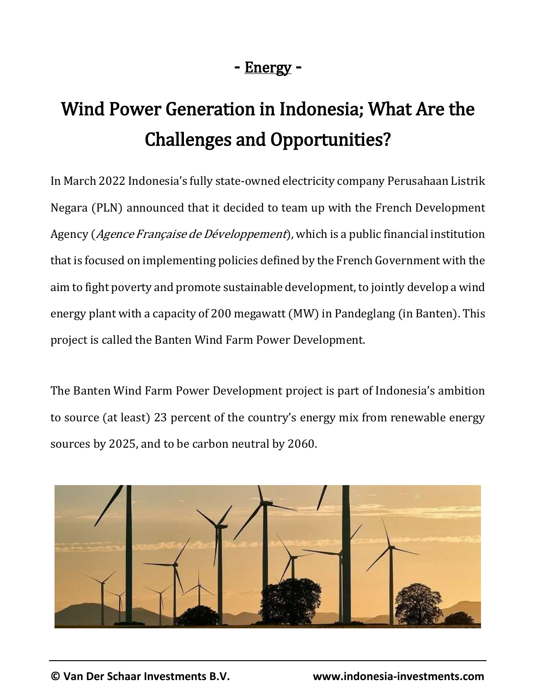#### - Energy -

## Wind Power Generation in Indonesia; What Are the Challenges and Opportunities?

In March 2022 Indonesia's fully state-owned electricity company Perusahaan Listrik Negara (PLN) announced that it decided to team up with the French Development Agency (Agence Française de Développement), which is a public financial institution that is focused on implementing policies defined by the French Government with the aim to fight poverty and promote sustainable development, to jointly develop a wind energy plant with a capacity of 200 megawatt (MW) in Pandeglang (in Banten). This project is called the Banten Wind Farm Power Development.

The Banten Wind Farm Power Development project is part of Indonesia's ambition to source (at least) 23 percent of the country's energy mix from renewable energy sources by 2025, and to be carbon neutral by 2060.

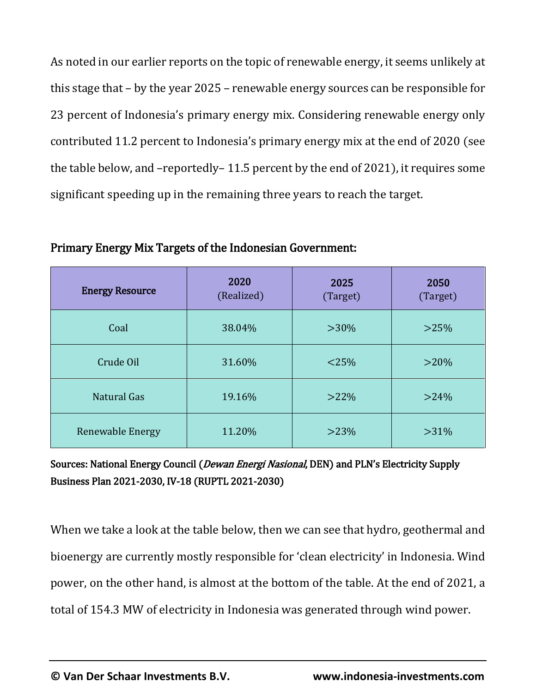As noted in our earlier reports on the topic of renewable energy, it seems unlikely at this stage that – by the year 2025 – renewable energy sources can be responsible for 23 percent of Indonesia's primary energy mix. Considering renewable energy only contributed 11.2 percent to Indonesia's primary energy mix at the end of 2020 (see the table below, and –reportedly– 11.5 percent by the end of 2021), it requires some significant speeding up in the remaining three years to reach the target.

Energy Resource 2020 (Realized) 2025 (Target) 2050 (Target) Coal 38.04% >30% >25% Crude Oil  $31.60\%$   $< 25\%$   $> 20\%$ Natural Gas  $19.16\%$   $>22\%$   $>24\%$ Renewable Energy  $\vert$  11.20%  $\vert$  >23% >31%

Primary Energy Mix Targets of the Indonesian Government:

Sources: National Energy Council (*Dewan Energi Nasional*, DEN) and PLN's Electricity Supply Business Plan 2021-2030, IV-18 (RUPTL 2021-2030)

When we take a look at the table below, then we can see that hydro, geothermal and bioenergy are currently mostly responsible for 'clean electricity' in Indonesia. Wind power, on the other hand, is almost at the bottom of the table. At the end of 2021, a total of 154.3 MW of electricity in Indonesia was generated through wind power.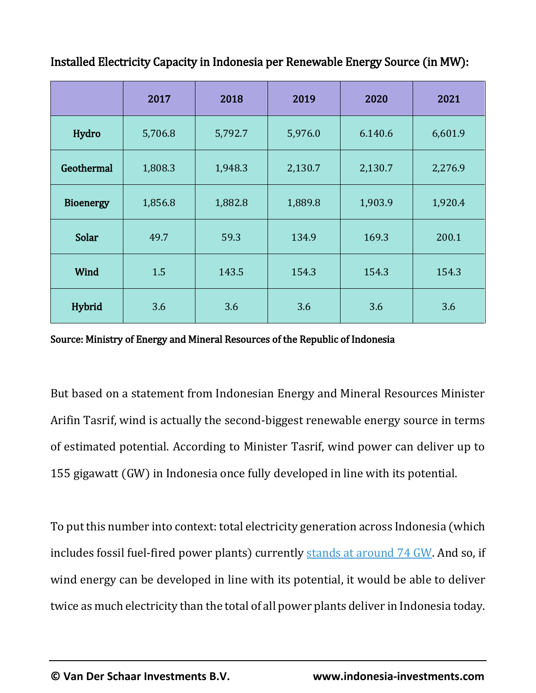|                  | 2017    | 2018    | 2019    | 2020    | 2021    |
|------------------|---------|---------|---------|---------|---------|
| Hydro            | 5,706.8 | 5,792.7 | 5,976.0 | 6.140.6 | 6,601.9 |
| Geothermal       | 1,808.3 | 1,948.3 | 2,130.7 | 2,130.7 | 2,276.9 |
| <b>Bioenergy</b> | 1,856.8 | 1,882.8 | 1,889.8 | 1,903.9 | 1,920.4 |
| <b>Solar</b>     | 49.7    | 59.3    | 134.9   | 169.3   | 200.1   |
| <b>Wind</b>      | 1.5     | 143.5   | 154.3   | 154.3   | 154.3   |
| Hybrid           | 3.6     | 3.6     | 3.6     | 3.6     | 3.6     |

Installed Electricity Capacity in Indonesia per Renewable Energy Source (in MW):

#### Source: Ministry of Energy and Mineral Resources of the Republic of Indonesia

But based on a statement from Indonesian Energy and Mineral Resources Minister Arifin Tasrif, wind is actually the second-biggest renewable energy source in terms of estimated potential. According to Minister Tasrif, wind power can deliver up to 155 gigawatt (GW) in Indonesia once fully developed in line with its potential.

To put this number into context: total electricity generation across Indonesia (which includes fossil fuel-fired power plants) currently [stands at around 74 GW.](https://www.antaranews.com/berita/2473513/kuartal-iii-2021-kapasitas-pembangkit-di-indonesia-capai-73688-mw) And so, if wind energy can be developed in line with its potential, it would be able to deliver twice as much electricity than the total of all power plants deliver in Indonesia today.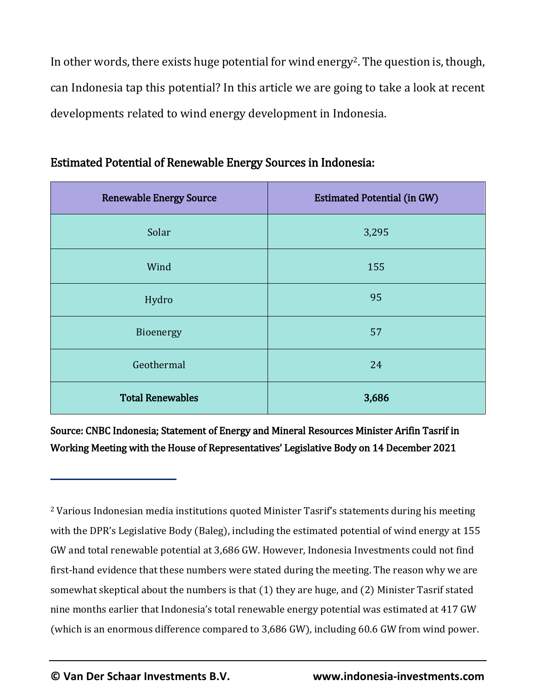In other words, there exists huge potential for wind energy<sup>2</sup>. The question is, though, can Indonesia tap this potential? In this article we are going to take a look at recent developments related to wind energy development in Indonesia.

| <b>Renewable Energy Source</b> | <b>Estimated Potential (in GW)</b> |  |  |
|--------------------------------|------------------------------------|--|--|
| Solar                          | 3,295                              |  |  |
| Wind                           | 155                                |  |  |
| Hydro                          | 95                                 |  |  |
| Bioenergy                      | 57                                 |  |  |
| Geothermal                     | 24                                 |  |  |
| <b>Total Renewables</b>        | 3,686                              |  |  |

#### Estimated Potential of Renewable Energy Sources in Indonesia:

Source: CNBC Indonesia; Statement of Energy and Mineral Resources Minister Arifin Tasrif in Working Meeting with the House of Representatives' Legislative Body on 14 December 2021

<sup>&</sup>lt;sup>2</sup> Various Indonesian media institutions quoted Minister Tasrif's statements during his meeting with the DPR's Legislative Body (Baleg), including the estimated potential of wind energy at 155 GW and total renewable potential at 3,686 GW. However, Indonesia Investments could not find first-hand evidence that these numbers were stated during the meeting. The reason why we are somewhat skeptical about the numbers is that (1) they are huge, and (2) Minister Tasrif stated nine months earlier that Indonesia's total renewable energy potential was estimated at 417 GW (which is an enormous difference compared to 3,686 GW), including 60.6 GW from wind power.